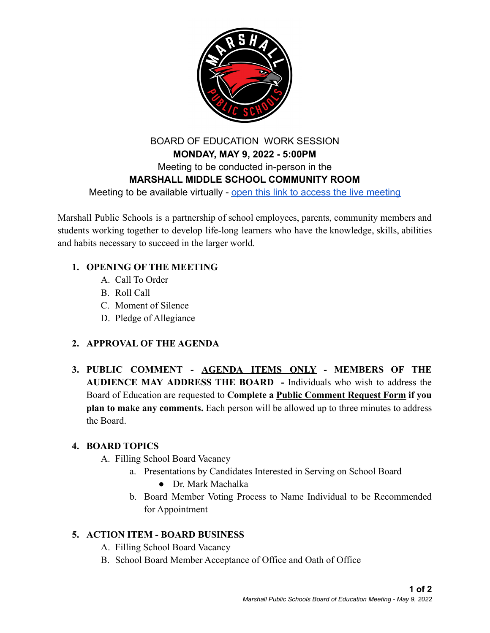

# BOARD OF EDUCATION WORK SESSION **MONDAY, MAY 9, 2022 - 5:00PM** Meeting to be conducted in-person in the **MARSHALL MIDDLE SCHOOL COMMUNITY ROOM** Meeting to be available virtually - open this link [to access the live meeting](https://www.youtube.com/channel/UCo_Dw2K8ptX5eFKauouPJZQ)

Marshall Public Schools is a partnership of school employees, parents, community members and students working together to develop life-long learners who have the knowledge, skills, abilities and habits necessary to succeed in the larger world.

### **1. OPENING OF THE MEETING**

- A. Call To Order
- B. Roll Call
- C. Moment of Silence
- D. Pledge of Allegiance

### **2. APPROVAL OF THE AGENDA**

**3. PUBLIC COMMENT - AGENDA ITEMS ONLY - MEMBERS OF THE AUDIENCE MAY ADDRESS THE BOARD -** Individuals who wish to address the Board of Education are requested to **Complete a Public Comment Request Form if you plan to make any comments.** Each person will be allowed up to three minutes to address the Board.

#### **4. BOARD TOPICS**

- A. Filling School Board Vacancy
	- a. Presentations by Candidates Interested in Serving on School Board
		- Dr. Mark Machalka
	- b. Board Member Voting Process to Name Individual to be Recommended for Appointment

#### **5. ACTION ITEM - BOARD BUSINESS**

- A. Filling School Board Vacancy
- B. School Board Member Acceptance of Office and Oath of Office